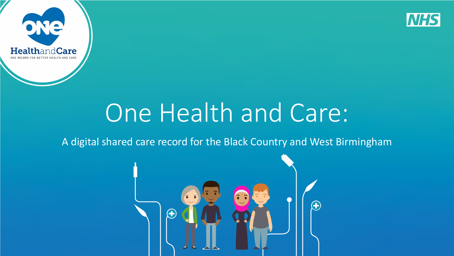



# One Health and Care:

#### A digital shared care record for the Black Country and West Birmingham

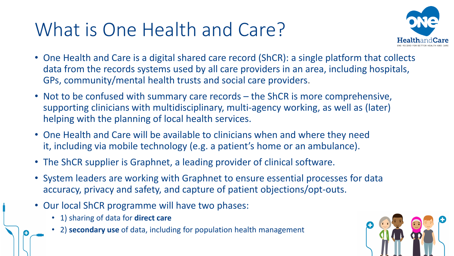# What is One Health and Care?



- One Health and Care is a digital shared care record (ShCR): a single platform that collects data from the records systems used by all care providers in an area, including hospitals, GPs, community/mental health trusts and social care providers.
- Not to be confused with summary care records the ShCR is more comprehensive, supporting clinicians with multidisciplinary, multi-agency working, as well as (later) helping with the planning of local health services.
- One Health and Care will be available to clinicians when and where they need it, including via mobile technology (e.g. a patient's home or an ambulance).
- The ShCR supplier is Graphnet, a leading provider of clinical software.
- System leaders are working with Graphnet to ensure essential processes for data accuracy, privacy and safety, and capture of patient objections/opt-outs.
- Our local ShCR programme will have two phases:
	- 1) sharing of data for **direct care**
	- 2) **secondary use** of data, including for population health management

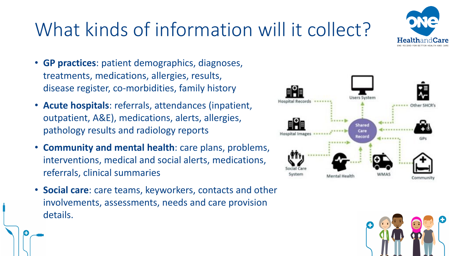

- **GP practices**: patient demographics, diagnoses, treatments, medications, allergies, results, disease register, co-morbidities, family history
- **Acute hospitals**: referrals, attendances (inpatient, outpatient, A&E), medications, alerts, allergies, pathology results and radiology reports
- **Community and mental health**: care plans, problems, interventions, medical and social alerts, medications, referrals, clinical summaries
- **Social care**: care teams, keyworkers, contacts and other involvements, assessments, needs and care provision details.





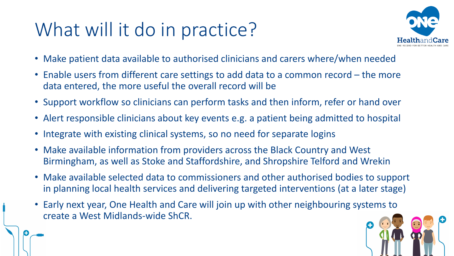# What will it do in practice?



- Make patient data available to authorised clinicians and carers where/when needed
- Enable users from different care settings to add data to a common record the more data entered, the more useful the overall record will be
- Support workflow so clinicians can perform tasks and then inform, refer or hand over
- Alert responsible clinicians about key events e.g. a patient being admitted to hospital
- Integrate with existing clinical systems, so no need for separate logins
- Make available information from providers across the Black Country and West Birmingham, as well as Stoke and Staffordshire, and Shropshire Telford and Wrekin
- Make available selected data to commissioners and other authorised bodies to support in planning local health services and delivering targeted interventions (at a later stage)
- Early next year, One Health and Care will join up with other neighbouring systems to create a West Midlands-wide ShCR.

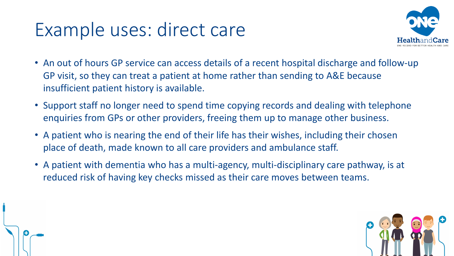### Example uses: direct care



- An out of hours GP service can access details of a recent hospital discharge and follow-up GP visit, so they can treat a patient at home rather than sending to A&E because insufficient patient history is available.
- Support staff no longer need to spend time copying records and dealing with telephone enquiries from GPs or other providers, freeing them up to manage other business.
- A patient who is nearing the end of their life has their wishes, including their chosen place of death, made known to all care providers and ambulance staff.
- A patient with dementia who has a multi-agency, multi-disciplinary care pathway, is at reduced risk of having key checks missed as their care moves between teams.

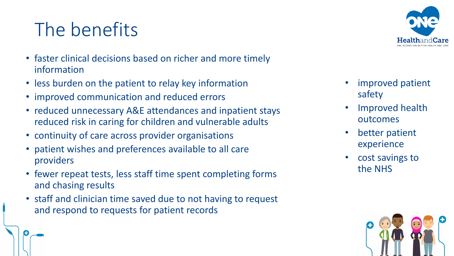# The benefits

- faster clinical decisions based on richer and more timely information
- less burden on the patient to relay key information
- improved communication and reduced errors
- reduced unnecessary A&E attendances and inpatient stays reduced risk in caring for children and vulnerable adults
- continuity of care across provider organisations
- patient wishes and preferences available to all care providers
- fewer repeat tests, less staff time spent completing forms and chasing results
- staff and clinician time saved due to not having to request and respond to requests for patient records



- improved patient safety
- Improved health outcomes
- better patient experience
- cost savings to the NHS

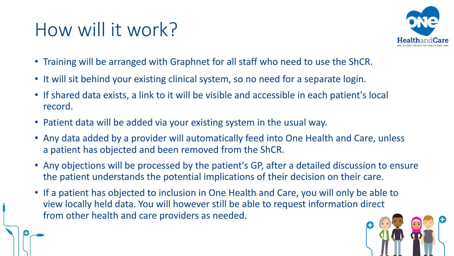# How will it work?



- Training will be arranged with Graphnet for all staff who need to use the ShCR.
- It will sit behind your existing clinical system, so no need for a separate login.
- If shared data exists, a link to it will be visible and accessible in each patient's local record.
- Patient data will be added via your existing system in the usual way.
- Any data added by a provider will automatically feed into One Health and Care, unless a patient has objected and been removed from the ShCR.
- Any objections will be processed by the patient's GP, after a detailed discussion to ensure the patient understands the potential implications of their decision on their care.
- If a patient has objected to inclusion in One Health and Care, you will only be able to view locally held data. You will however still be able to request information direct from other health and care providers as needed.

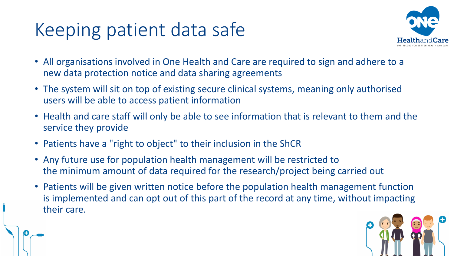# Keeping patient data safe



- All organisations involved in One Health and Care are required to sign and adhere to a new data protection notice and data sharing agreements
- The system will sit on top of existing secure clinical systems, meaning only authorised users will be able to access patient information
- Health and care staff will only be able to see information that is relevant to them and the service they provide
- Patients have a "right to object" to their inclusion in the ShCR
- Any future use for population health management will be restricted to the minimum amount of data required for the research/project being carried out
- Patients will be given written notice before the population health management function is implemented and can opt out of this part of the record at any time, without impacting their care.